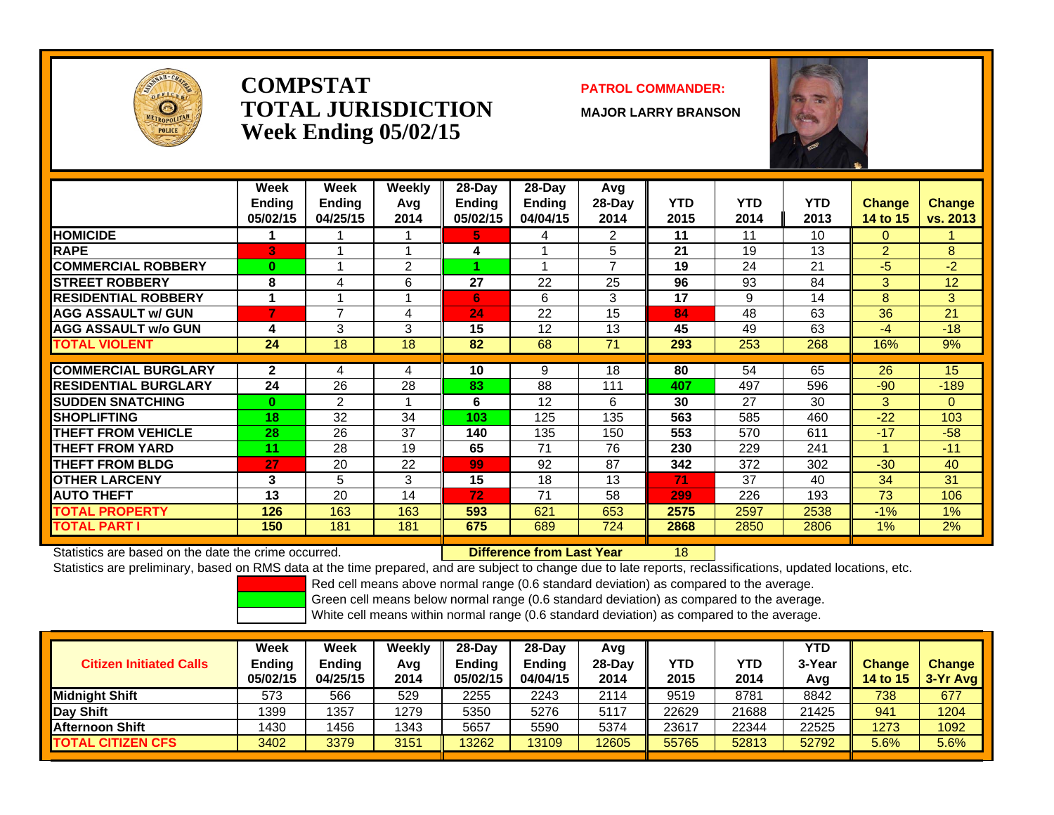

### **COMPSTATTOTAL JURISDICTIONWeek Ending 05/02/15**

### **PATROL COMMANDER:**

**MAJOR LARRY BRANSON**

18



|                             | Week<br><b>Ending</b><br>05/02/15 | Week<br><b>Ending</b><br>04/25/15 | Weekly<br>Avq<br>2014 | $28-Dav$<br><b>Endina</b><br>05/02/15 | $28-Day$<br>Ending<br>04/04/15 | Avg<br>28-Dav<br>2014 | <b>YTD</b><br>2015 | <b>YTD</b><br>2014 | <b>YTD</b><br>2013 | <b>Change</b><br>14 to 15 | Change<br><b>vs. 2013</b> |
|-----------------------------|-----------------------------------|-----------------------------------|-----------------------|---------------------------------------|--------------------------------|-----------------------|--------------------|--------------------|--------------------|---------------------------|---------------------------|
| <b>HOMICIDE</b>             |                                   |                                   |                       | 5.                                    | 4                              | 2                     | 11                 | 11                 | 10                 | 0                         |                           |
| <b>RAPE</b>                 | 3                                 |                                   |                       | 4                                     |                                | 5                     | 21                 | 19                 | 13                 | $\overline{2}$            | 8                         |
| <b>COMMERCIAL ROBBERY</b>   | $\bf{0}$                          | 4                                 | 2                     |                                       |                                | 7                     | 19                 | 24                 | 21                 | $-5$                      | $-2$                      |
| <b>ISTREET ROBBERY</b>      | 8                                 | 4                                 | 6                     | 27                                    | 22                             | 25                    | 96                 | 93                 | 84                 | 3                         | 12                        |
| <b>RESIDENTIAL ROBBERY</b>  |                                   |                                   |                       | 6                                     | 6                              | 3                     | 17                 | 9                  | 14                 | 8                         | 3                         |
| <b>AGG ASSAULT w/ GUN</b>   | 7                                 | 7                                 | 4                     | 24                                    | 22                             | 15                    | 84                 | 48                 | 63                 | 36                        | 21                        |
| <b>AGG ASSAULT w/o GUN</b>  | 4                                 | 3                                 | 3                     | 15                                    | 12                             | 13                    | 45                 | 49                 | 63                 | -4                        | $-18$                     |
| <b>TOTAL VIOLENT</b>        | 24                                | 18                                | 18                    | 82                                    | 68                             | 71                    | 293                | 253                | 268                | 16%                       | 9%                        |
|                             |                                   |                                   |                       |                                       |                                |                       |                    |                    |                    |                           |                           |
| <b>COMMERCIAL BURGLARY</b>  | $\mathbf{2}$                      | 4                                 | 4                     | 10                                    | 9                              | 18                    | 80                 | 54                 | 65                 | 26                        | 15                        |
| <b>RESIDENTIAL BURGLARY</b> | 24                                | 26                                | 28                    | 83                                    | 88                             | 111                   | 407                | 497                | 596                | $-90$                     | $-189$                    |
| <b>SUDDEN SNATCHING</b>     | $\bf{0}$                          | 2                                 |                       | 6                                     | 12                             | 6                     | 30                 | 27                 | 30                 | 3                         | $\Omega$                  |
| <b>ISHOPLIFTING</b>         | 18                                | 32                                | 34                    | 103                                   | 125                            | 135                   | 563                | 585                | 460                | $-22$                     | 103                       |
| <b>THEFT FROM VEHICLE</b>   | 28                                | 26                                | 37                    | 140                                   | 135                            | 150                   | 553                | 570                | 611                | $-17$                     | $-58$                     |
| <b>THEFT FROM YARD</b>      | 11                                | 28                                | 19                    | 65                                    | 71                             | 76                    | 230                | 229                | 241                |                           | $-11$                     |
| <b>THEFT FROM BLDG</b>      | 27                                | 20                                | 22                    | 99                                    | 92                             | 87                    | 342                | 372                | 302                | $-30$                     | 40                        |
| <b>OTHER LARCENY</b>        | 3                                 | 5                                 | 3                     | 15                                    | 18                             | 13                    | 71                 | 37                 | 40                 | 34                        | 31                        |
| <b>AUTO THEFT</b>           | 13                                | 20                                | 14                    | 72                                    | 71                             | 58                    | 299                | 226                | 193                | 73                        | 106                       |
| <b>TOTAL PROPERTY</b>       | 126                               | 163                               | 163                   | 593                                   | 621                            | 653                   | 2575               | 2597               | 2538               | $-1%$                     | 1%                        |
| <b>TOTAL PART I</b>         | 150                               | 181                               | 181                   | 675                                   | 689                            | 724                   | 2868               | 2850               | 2806               | 1%                        | 2%                        |

Statistics are based on the date the crime occurred. **Difference from Last Year** 

Statistics are preliminary, based on RMS data at the time prepared, and are subject to change due to late reports, reclassifications, updated locations, etc.

Red cell means above normal range (0.6 standard deviation) as compared to the average.

Green cell means below normal range (0.6 standard deviation) as compared to the average.

| <b>Citizen Initiated Calls</b> | Week<br>Ending<br>05/02/15 | Week<br><b>Endina</b><br>04/25/15 | Weekly<br>Avg<br>2014 | 28-Dav<br>Endina<br>05/02/15 | $28-Dav$<br><b>Endina</b><br>04/04/15 | Avg<br>28-Day<br>2014 | YTD<br>2015 | YTD<br>2014 | <b>YTD</b><br>3-Year<br>Avg | <b>Change</b><br><b>14 to 15</b> | <b>Change</b><br>3-Yr Avg |
|--------------------------------|----------------------------|-----------------------------------|-----------------------|------------------------------|---------------------------------------|-----------------------|-------------|-------------|-----------------------------|----------------------------------|---------------------------|
| <b>IMidniaht Shift</b>         | 573                        | 566                               | 529                   | 2255                         | 2243                                  | 2114                  | 9519        | 8781        | 8842                        | 738                              | 677                       |
| Day Shift                      | 1399                       | 1357                              | 1279                  | 5350                         | 5276                                  | 5117                  | 22629       | 21688       | 21425                       | 941                              | 1204                      |
| <b>IAfternoon Shift</b>        | 1430                       | 1456                              | 1343                  | 5657                         | 5590                                  | 5374                  | 23617       | 22344       | 22525                       | 1273                             | 1092                      |
| <b>TOTAL CITIZEN CFS</b>       | 3402                       | 3379                              | 3151                  | 13262                        | 13109                                 | 12605                 | 55765       | 52813       | 52792                       | 5.6%                             | 5.6%                      |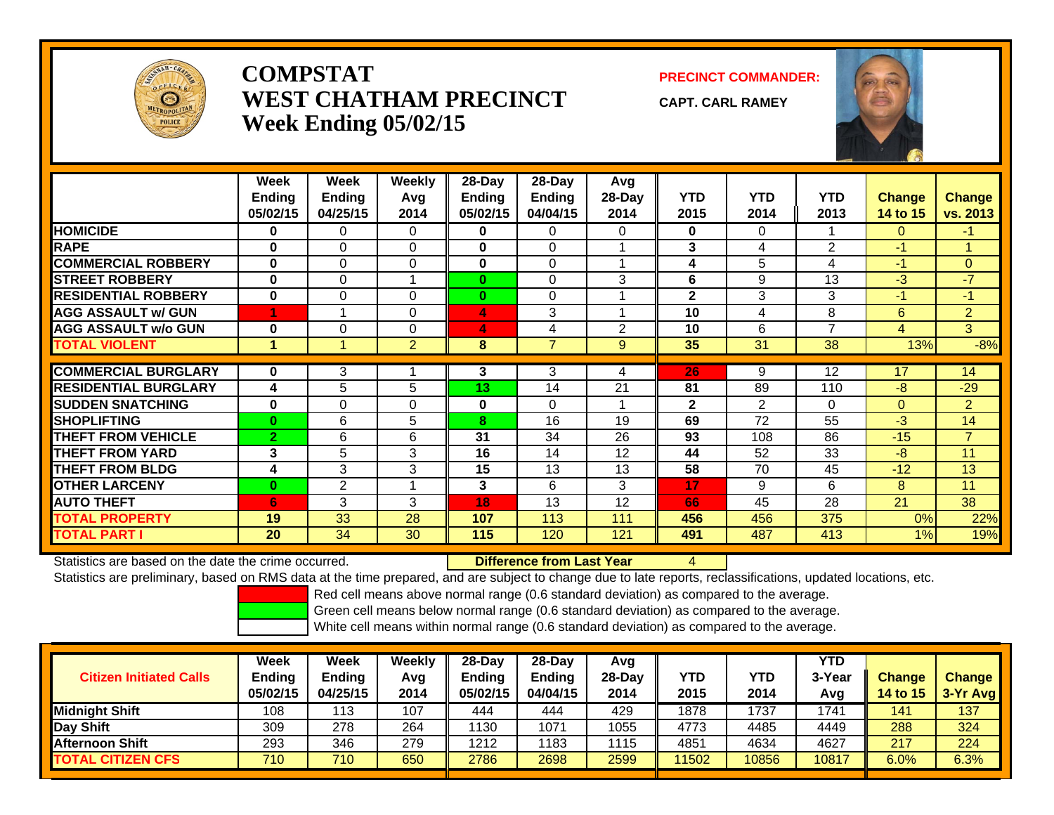

## **COMPSTATWEST CHATHAM PRECINCTWeek Ending 05/02/15**

**PRECINCT COMMANDER:**

**CAPT. CARL RAMEY**

4



|                             | Week<br><b>Ending</b><br>05/02/15 | Week<br>Ending<br>04/25/15 | Weekly<br>Avg<br>2014 | $28-Dav$<br><b>Ending</b><br>05/02/15 | 28-Day<br><b>Ending</b><br>04/04/15 | Avg<br>28-Day<br>2014 | <b>YTD</b><br>2015 | <b>YTD</b><br>2014 | <b>YTD</b><br>2013 | <b>Change</b><br>14 to 15 | <b>Change</b><br>vs. 2013 |
|-----------------------------|-----------------------------------|----------------------------|-----------------------|---------------------------------------|-------------------------------------|-----------------------|--------------------|--------------------|--------------------|---------------------------|---------------------------|
| <b>HOMICIDE</b>             | 0                                 | $\Omega$                   | $\Omega$              | $\mathbf{0}$                          | 0                                   | 0                     | $\mathbf{0}$       | 0                  |                    | $\Omega$                  | $-1$                      |
| <b>RAPE</b>                 | $\bf{0}$                          | $\Omega$                   | $\Omega$              | $\bf{0}$                              | $\Omega$                            |                       | 3                  | 4                  | $\overline{2}$     | $-1$                      | 1                         |
| <b>COMMERCIAL ROBBERY</b>   | $\bf{0}$                          | $\Omega$                   | $\Omega$              | $\bf{0}$                              | $\Omega$                            |                       | 4                  | 5                  | 4                  | $-1$                      | $\Omega$                  |
| <b>STREET ROBBERY</b>       | $\bf{0}$                          | $\Omega$                   |                       | $\bf{0}$                              | $\Omega$                            | 3                     | 6                  | 9                  | 13                 | $-3$                      | $-7$                      |
| <b>RESIDENTIAL ROBBERY</b>  | $\bf{0}$                          | $\Omega$                   | $\Omega$              | $\bf{0}$                              | $\Omega$                            |                       | $\mathbf{2}$       | 3                  | 3                  | $-1$                      | $-1$                      |
| <b>AGG ASSAULT w/ GUN</b>   |                                   |                            | $\mathbf 0$           | 4                                     | 3                                   |                       | 10                 | 4                  | 8                  | 6                         | $\overline{2}$            |
| <b>AGG ASSAULT w/o GUN</b>  | $\bf{0}$                          | 0                          | $\Omega$              | 4                                     | 4                                   | $\overline{2}$        | 10                 | 6                  | 7                  | 4                         | 3                         |
| <b>TOTAL VIOLENT</b>        |                                   |                            | $\overline{2}$        | 8                                     | $\overline{7}$                      | 9                     | 35                 | 31                 | 38                 | 13%                       | $-8%$                     |
| <b>COMMERCIAL BURGLARY</b>  | $\bf{0}$                          |                            |                       |                                       |                                     |                       |                    |                    |                    |                           |                           |
|                             |                                   | 3                          |                       | 3                                     | 3                                   | 4                     | 26                 | 9                  | 12                 | 17                        | 14                        |
| <b>RESIDENTIAL BURGLARY</b> | 4                                 | 5                          | 5                     | 13                                    | 14                                  | 21                    | 81                 | 89                 | 110                | -8                        | $-29$                     |
| <b>SUDDEN SNATCHING</b>     | $\bf{0}$                          | 0                          | 0                     | $\bf{0}$                              | $\Omega$                            |                       | $\mathbf{2}$       | $\overline{2}$     | $\Omega$           | $\overline{0}$            | $\overline{2}$            |
| <b>SHOPLIFTING</b>          | $\mathbf{0}$                      | 6                          | 5                     | $\overline{\mathbf{8}}$               | 16                                  | 19                    | 69                 | 72                 | 55                 | $-3$                      | 14                        |
| <b>THEFT FROM VEHICLE</b>   | $\overline{2}$                    | 6                          | 6                     | 31                                    | 34                                  | 26                    | 93                 | 108                | 86                 | $-15$                     | $\overline{7}$            |
| <b>THEFT FROM YARD</b>      | 3                                 | 5                          | 3                     | 16                                    | 14                                  | 12                    | 44                 | 52                 | 33                 | $-8$                      | 11                        |
| <b>THEFT FROM BLDG</b>      | 4                                 | 3                          | 3                     | 15                                    | 13                                  | 13                    | 58                 | 70                 | 45                 | $-12$                     | 13                        |
| <b>OTHER LARCENY</b>        | $\mathbf{0}$                      | 2                          |                       | 3                                     | 6                                   | 3                     | 17                 | 9                  | 6                  | 8                         | 11                        |
| <b>AUTO THEFT</b>           | 6                                 | 3                          | 3                     | 18                                    | 13                                  | 12                    | 66                 | 45                 | 28                 | 21                        | 38                        |
| <b>TOTAL PROPERTY</b>       | 19                                | 33                         | 28                    | 107                                   | 113                                 | 111                   | 456                | 456                | 375                | 0%                        | 22%                       |
| <b>TOTAL PART I</b>         | 20                                | 34                         | 30                    | 115                                   | 120                                 | 121                   | 491                | 487                | 413                | 1%                        | 19%                       |

Statistics are based on the date the crime occurred. **Difference from Last Year** 

Statistics are preliminary, based on RMS data at the time prepared, and are subject to change due to late reports, reclassifications, updated locations, etc.

Red cell means above normal range (0.6 standard deviation) as compared to the average.

Green cell means below normal range (0.6 standard deviation) as compared to the average.

| <b>Citizen Initiated Calls</b> | <b>Week</b><br><b>Ending</b><br>05/02/15 | <b>Week</b><br><b>Ending</b><br>04/25/15 | Weekly<br>Avg<br>2014 | $28$ -Dav<br><b>Ending</b><br>05/02/15 | $28-Dav$<br><b>Ending</b><br>04/04/15 | Avg<br>28-Dav<br>2014 | YTD<br>2015 | YTD<br>2014 | YTD<br>3-Year<br>Avg | <b>Change</b><br><b>14 to 15</b> | <b>Change</b><br>$3-Yr$ Avg |
|--------------------------------|------------------------------------------|------------------------------------------|-----------------------|----------------------------------------|---------------------------------------|-----------------------|-------------|-------------|----------------------|----------------------------------|-----------------------------|
| <b>Midnight Shift</b>          | 108                                      | 13                                       | 107                   | 444                                    | 444                                   | 429                   | 1878        | 1737        | 1741                 | 141                              | 137                         |
| Day Shift                      | 309                                      | 278                                      | 264                   | 1130                                   | 1071                                  | 1055                  | 4773        | 4485        | 4449                 | 288                              | 324                         |
| Afternoon Shift                | 293                                      | 346                                      | 279                   | 1212                                   | 1183                                  | 1115                  | 4851        | 4634        | 4627                 | 217                              | 224                         |
| <b>TOTAL CITIZEN CFS</b>       | 710                                      | 710                                      | 650                   | 2786                                   | 2698                                  | 2599                  | 11502       | 10856       | 10817                | $6.0\%$                          | 6.3%                        |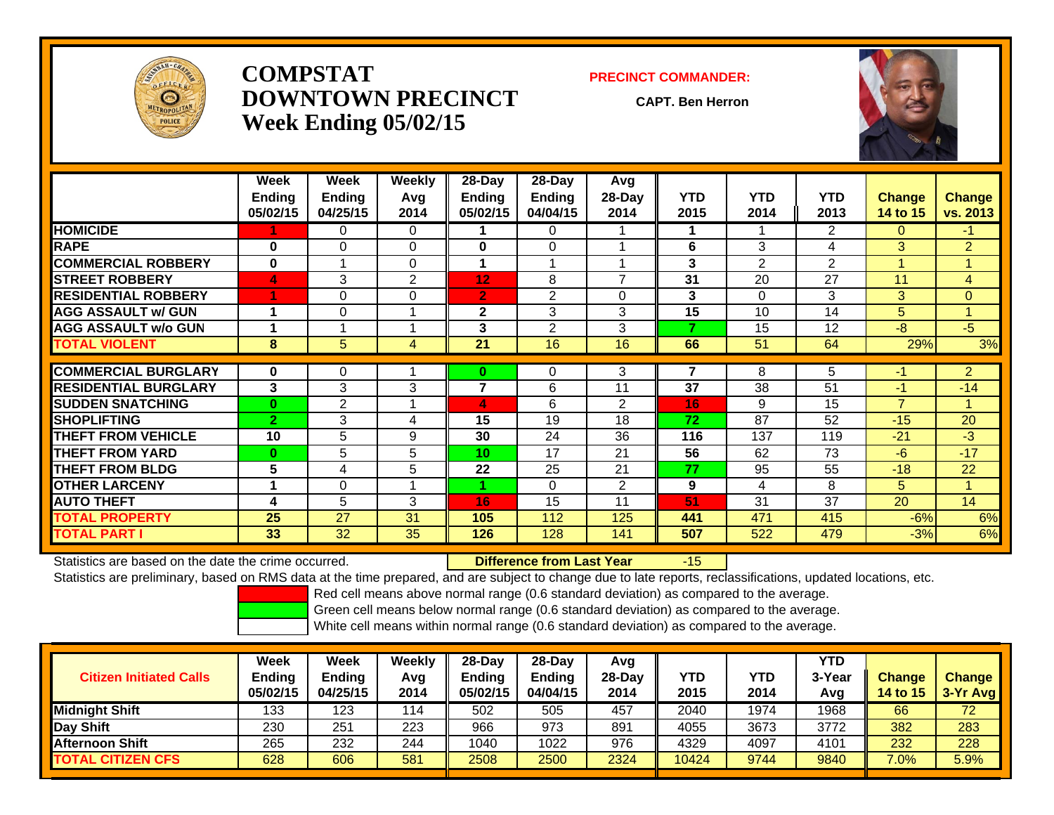

## **COMPSTATDOWNTOWN PRECINCTWeek Ending 05/02/15**

#### **PRECINCT COMMANDER:**

**CAPT. Ben Herron**

-15



|                             | Week<br><b>Ending</b><br>05/02/15 | Week<br><b>Ending</b><br>04/25/15 | Weekly<br>Avg<br>2014 | 28-Day<br>Ending<br>05/02/15 | 28-Day<br><b>Ending</b><br>04/04/15 | Avg<br>28-Day<br>2014    | <b>YTD</b><br>2015 | <b>YTD</b><br>2014 | <b>YTD</b><br>2013 | <b>Change</b><br>14 to 15 | <b>Change</b><br>vs. 2013 |
|-----------------------------|-----------------------------------|-----------------------------------|-----------------------|------------------------------|-------------------------------------|--------------------------|--------------------|--------------------|--------------------|---------------------------|---------------------------|
| <b>HOMICIDE</b>             |                                   | 0                                 | 0                     |                              | 0                                   |                          |                    |                    | $\overline{2}$     | 0                         | $-1$                      |
| <b>RAPE</b>                 | $\bf{0}$                          | 0                                 | 0                     | $\bf{0}$                     | 0                                   |                          | 6                  | 3                  | 4                  | 3                         | $\overline{2}$            |
| <b>COMMERCIAL ROBBERY</b>   | $\bf{0}$                          | 1                                 | $\Omega$              |                              |                                     |                          | 3                  | $\overline{2}$     | $\overline{2}$     |                           | 1                         |
| <b>ISTREET ROBBERY</b>      | 4                                 | 3                                 | $\overline{2}$        | 12                           | 8                                   | $\overline{\phantom{a}}$ | 31                 | 20                 | 27                 | 11                        | 4                         |
| <b>RESIDENTIAL ROBBERY</b>  |                                   | 0                                 | $\Omega$              | $\overline{2}$               | 2                                   | $\Omega$                 | 3                  | $\Omega$           | 3                  | 3                         | $\Omega$                  |
| <b>AGG ASSAULT w/ GUN</b>   | 1                                 | $\Omega$                          |                       | $\mathbf{2}$                 | 3                                   | 3                        | 15                 | 10                 | 14                 | 5                         | $\mathbf{1}$              |
| <b>AGG ASSAULT w/o GUN</b>  |                                   |                                   |                       | 3                            | 2                                   | 3                        | 7                  | 15                 | 12                 | $-8$                      | $-5$                      |
| <b>TOTAL VIOLENT</b>        | 8                                 | 5                                 | 4                     | 21                           | 16                                  | 16                       | 66                 | 51                 | 64                 | 29%                       | 3%                        |
|                             |                                   |                                   |                       |                              |                                     |                          |                    |                    |                    |                           |                           |
| <b>COMMERCIAL BURGLARY</b>  | 0                                 | $\Omega$                          |                       | $\bf{0}$                     | 0                                   | 3                        | 7                  | 8                  | 5                  |                           | $\overline{2}$            |
| <b>RESIDENTIAL BURGLARY</b> | 3                                 | 3                                 | 3                     | 7                            | 6                                   | 11                       | 37                 | 38                 | 51                 | $-1$                      | $-14$                     |
| <b>SUDDEN SNATCHING</b>     | $\mathbf{0}$                      | 2                                 |                       | $\overline{4}$               | 6                                   | $\overline{2}$           | 16                 | 9                  | 15                 | $\overline{7}$            | 1                         |
| <b>SHOPLIFTING</b>          | $\overline{2}$                    | 3                                 | 4                     | 15                           | 19                                  | 18                       | 72                 | 87                 | 52                 | $-15$                     | 20                        |
| THEFT FROM VEHICLE          | 10                                | 5                                 | 9                     | 30                           | 24                                  | 36                       | 116                | 137                | 119                | $-21$                     | $-3$                      |
| <b>THEFT FROM YARD</b>      | $\mathbf{0}$                      | 5                                 | 5                     | 10                           | 17                                  | 21                       | 56                 | 62                 | 73                 | $-6$                      | $-17$                     |
| <b>THEFT FROM BLDG</b>      | 5                                 | 4                                 | 5.                    | 22                           | 25                                  | 21                       | 77                 | 95                 | 55                 | $-18$                     | 22                        |
| <b>OTHER LARCENY</b>        | 4                                 | 0                                 |                       |                              | $\Omega$                            | $\overline{2}$           | 9                  | 4                  | 8                  | 5.                        | 1                         |
| <b>AUTO THEFT</b>           | 4                                 | 5                                 | 3                     | 16                           | 15                                  | 11                       | 51                 | 31                 | 37                 | 20                        | 14                        |
| <b>TOTAL PROPERTY</b>       | 25                                | 27                                | 31                    | 105                          | 112                                 | 125                      | 441                | 471                | 415                | $-6%$                     | 6%                        |
| <b>TOTAL PART I</b>         | 33                                | 32                                | 35                    | 126                          | 128                                 | 141                      | 507                | 522                | 479                | $-3%$                     | 6%                        |

Statistics are based on the date the crime occurred. **Difference from Last Year** 

Statistics are preliminary, based on RMS data at the time prepared, and are subject to change due to late reports, reclassifications, updated locations, etc.

Red cell means above normal range (0.6 standard deviation) as compared to the average.

Green cell means below normal range (0.6 standard deviation) as compared to the average.

| <b>Citizen Initiated Calls</b> | Week<br><b>Ending</b><br>05/02/15 | Week<br><b>Ending</b><br>04/25/15 | Weekly<br>Avg<br>2014 | $28$ -Day<br>Endina<br>05/02/15 | $28-Day$<br><b>Ending</b><br>04/04/15 | Avg<br>$28$ -Day<br>2014 | YTD<br>2015 | YTD<br>2014 | YTD<br>3-Year<br>Avg | <b>Change</b><br><b>14 to 15</b> | <b>Change</b><br>$3-Yr$ Avg |
|--------------------------------|-----------------------------------|-----------------------------------|-----------------------|---------------------------------|---------------------------------------|--------------------------|-------------|-------------|----------------------|----------------------------------|-----------------------------|
| <b>Midnight Shift</b>          | 133                               | 123                               | 114                   | 502                             | 505                                   | 457                      | 2040        | 1974        | 1968                 | 66                               | 72                          |
| <b>Day Shift</b>               | 230                               | 251                               | 223                   | 966                             | 973                                   | 891                      | 4055        | 3673        | 3772                 | 382                              | 283                         |
| IAfternoon Shift               | 265                               | 232                               | 244                   | 1040                            | 1022                                  | 976                      | 4329        | 4097        | 4101                 | 232                              | 228                         |
| <b>TOTAL CITIZEN CFS</b>       | 628                               | 606                               | 581                   | 2508                            | 2500                                  | 2324                     | 10424       | 9744        | 9840                 | $7.0\%$                          | 5.9%                        |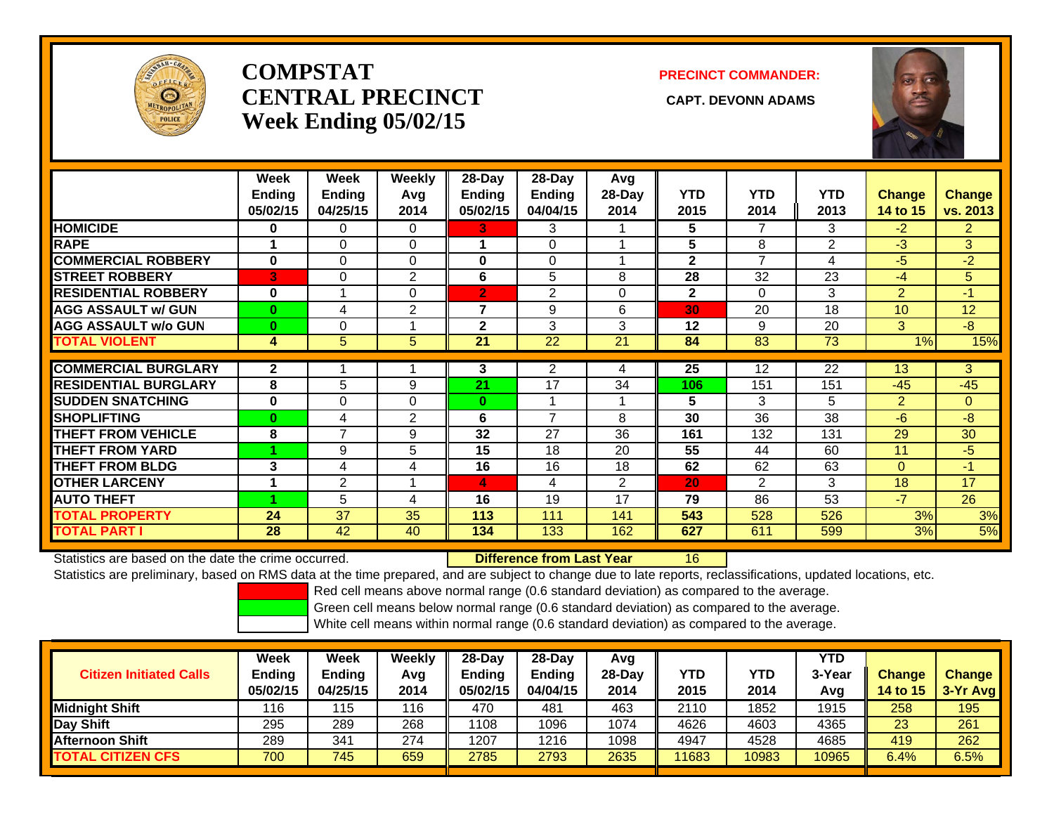

# **COMPSTATCENTRAL PRECINCT** CAPT. DEVONN ADAMS **Week Ending 05/02/15**

### **PRECINCT COMMANDER:**



|                             | Week<br><b>Ending</b> | Week<br><b>Ending</b> | <b>Weekly</b><br>Avq | 28-Day<br><b>Ending</b> | 28-Day<br><b>Ending</b> | Avg<br>28-Day  | <b>YTD</b>   | <b>YTD</b>     | <b>YTD</b>      | <b>Change</b>  | <b>Change</b>  |
|-----------------------------|-----------------------|-----------------------|----------------------|-------------------------|-------------------------|----------------|--------------|----------------|-----------------|----------------|----------------|
|                             | 05/02/15              | 04/25/15              | 2014                 | 05/02/15                | 04/04/15                | 2014           | 2015         | 2014           | 2013            | 14 to 15       | vs. 2013       |
| <b>HOMICIDE</b>             | 0                     | 0                     | $\Omega$             | 3                       | 3                       |                | 5            | 7              | 3               | $-2$           | $\overline{2}$ |
| <b>RAPE</b>                 |                       | $\Omega$              | $\Omega$             |                         | $\Omega$                |                | 5            | 8              | $\overline{2}$  | $-3$           | 3              |
| <b>COMMERCIAL ROBBERY</b>   | $\bf{0}$              | $\Omega$              | $\Omega$             | 0                       | $\Omega$                |                | $\mathbf{2}$ | $\overline{7}$ | 4               | $-5$           | $-2$           |
| <b>STREET ROBBERY</b>       | 3                     | 0                     | 2                    | 6                       | 5                       | 8              | 28           | 32             | 23              | $-4$           | 5              |
| <b>RESIDENTIAL ROBBERY</b>  | $\bf{0}$              |                       | $\Omega$             | $\overline{2}$          | 2                       | $\Omega$       | $\mathbf{2}$ | $\Omega$       | 3               | $\overline{2}$ | $-1$           |
| <b>AGG ASSAULT w/ GUN</b>   | $\bf{0}$              | 4                     | $\mathbf{2}$         | $\overline{7}$          | 9                       | 6              | 30           | 20             | 18              | 10             | 12             |
| <b>AGG ASSAULT w/o GUN</b>  | $\mathbf{0}$          | 0                     |                      | $\mathbf{2}$            | 3                       | 3              | 12           | 9              | 20              | 3              | $-8$           |
| <b>TOTAL VIOLENT</b>        | 4                     | 5                     | 5                    | 21                      | 22                      | 21             | 84           | 83             | 73              | 1%             | 15%            |
| <b>COMMERCIAL BURGLARY</b>  |                       |                       |                      |                         |                         |                |              |                | $\overline{22}$ |                | 3              |
|                             | $\mathbf{2}$          |                       |                      | 3                       | 2                       | 4              | 25           | 12             |                 | 13             |                |
| <b>RESIDENTIAL BURGLARY</b> | 8                     | 5                     | 9                    | 21                      | 17                      | 34             | 106          | 151            | 151             | $-45$          | $-45$          |
| <b>SUDDEN SNATCHING</b>     | $\bf{0}$              | $\Omega$              | $\Omega$             | $\bf{0}$                |                         |                | 5            | 3              | 5               | $\overline{2}$ | $\mathbf{0}$   |
| <b>SHOPLIFTING</b>          | $\bf{0}$              | 4                     | 2                    | 6                       | 7                       | 8              | 30           | 36             | 38              | $-6$           | $-8$           |
| <b>THEFT FROM VEHICLE</b>   | 8                     | $\overline{7}$        | 9                    | 32                      | 27                      | 36             | 161          | 132            | 131             | 29             | 30             |
| <b>THEFT FROM YARD</b>      |                       | 9                     | 5                    | 15                      | 18                      | 20             | 55           | 44             | 60              | 11             | $-5$           |
| <b>THEFT FROM BLDG</b>      | 3                     | 4                     | 4                    | 16                      | 16                      | 18             | 62           | 62             | 63              | $\Omega$       | $-1$           |
| <b>OTHER LARCENY</b>        |                       | 2                     |                      | 4                       | 4                       | $\overline{2}$ | 20           | $\overline{2}$ | 3               | 18             | 17             |
| <b>AUTO THEFT</b>           |                       | 5                     | 4                    | 16                      | 19                      | 17             | 79           | 86             | 53              | $-7$           | 26             |
| <b>TOTAL PROPERTY</b>       | 24                    | 37                    | 35                   | 113                     | 111                     | 141            | 543          | 528            | 526             | 3%             | 3%             |
| <b>TOTAL PART I</b>         | 28                    | 42                    | 40                   | 134                     | 133                     | 162            | 627          | 611            | 599             | 3%             | 5%             |

Statistics are based on the date the crime occurred. **Difference from Last Year** 

16

Statistics are preliminary, based on RMS data at the time prepared, and are subject to change due to late reports, reclassifications, updated locations, etc.

Red cell means above normal range (0.6 standard deviation) as compared to the average.

Green cell means below normal range (0.6 standard deviation) as compared to the average.

| <b>Citizen Initiated Calls</b> | Week<br><b>Ending</b><br>05/02/15 | <b>Week</b><br>Ending<br>04/25/15 | Weekly<br>Avg<br>2014 | $28$ -Dav<br>Ending<br>05/02/15 | $28-Day$<br><b>Ending</b><br>04/04/15 | Avg<br>$28-Dav$<br>2014 | YTD<br>2015 | YTD<br>2014 | YTD<br>3-Year<br>Avg | <b>Change</b><br><b>14 to 15</b> | <b>Change</b><br>3-Yr Avg |
|--------------------------------|-----------------------------------|-----------------------------------|-----------------------|---------------------------------|---------------------------------------|-------------------------|-------------|-------------|----------------------|----------------------------------|---------------------------|
| Midnight Shift                 | 116                               | 115                               | 116                   | 470                             | 481                                   | 463                     | 2110        | 1852        | 1915                 | 258                              | 195                       |
| Day Shift                      | 295                               | 289                               | 268                   | 1108                            | 1096                                  | 1074                    | 4626        | 4603        | 4365                 | 23                               | 261                       |
| <b>Afternoon Shift</b>         | 289                               | 34 <sup>′</sup>                   | 274                   | 1207                            | 1216                                  | 1098                    | 4947        | 4528        | 4685                 | 419                              | 262                       |
| <b>TOTAL CITIZEN CFS</b>       | 700                               | 745                               | 659                   | 2785                            | 2793                                  | 2635                    | 11683       | 10983       | 10965                | 6.4%                             | 6.5%                      |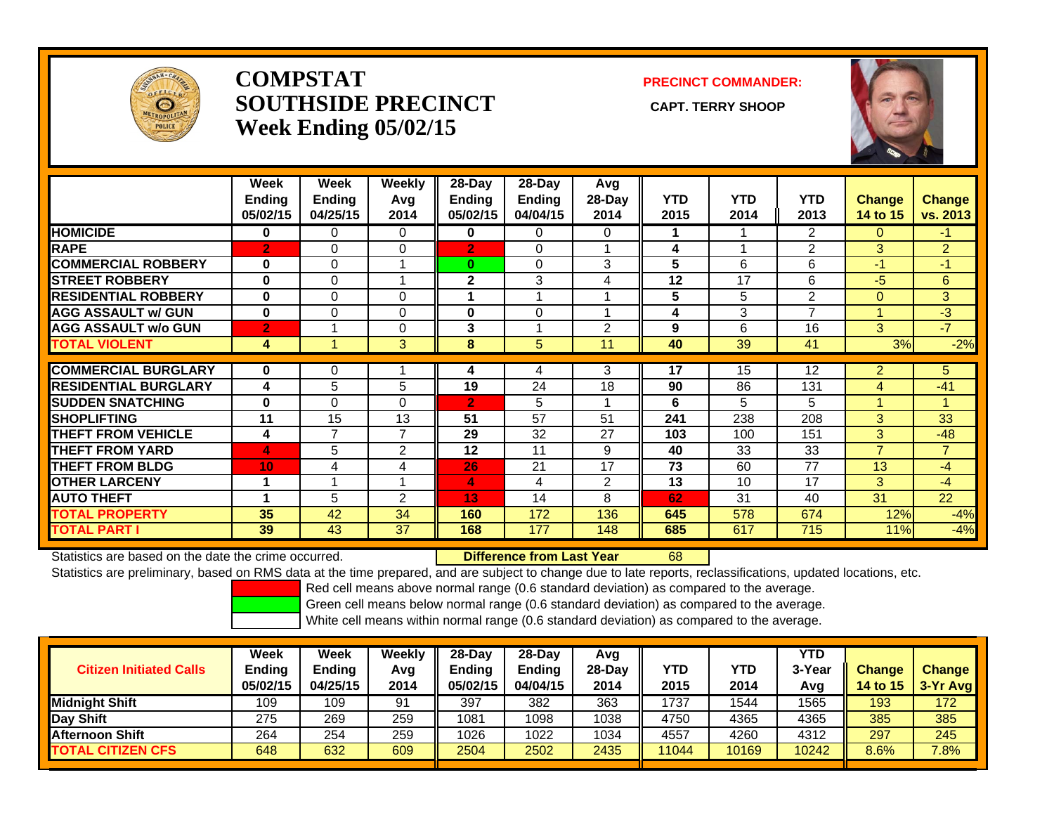

## **COMPSTATSOUTHSIDE PRECINCT** CAPT. TERRY SHOOP **Week Ending 05/02/15**

**PRECINCT COMMANDER:**



|                             | Week<br>Ending<br>05/02/15 | Week<br><b>Ending</b><br>04/25/15 | Weekly<br>Avq<br>2014 | $28$ -Day<br><b>Ending</b><br>05/02/15 | $28$ -Day<br>Ending<br>04/04/15 | Avg<br>28-Day<br>2014 | <b>YTD</b><br>2015 | <b>YTD</b><br>2014       | <b>YTD</b><br>2013 | <b>Change</b><br>14 to 15 | <b>Change</b><br>vs. 2013 |
|-----------------------------|----------------------------|-----------------------------------|-----------------------|----------------------------------------|---------------------------------|-----------------------|--------------------|--------------------------|--------------------|---------------------------|---------------------------|
| <b>HOMICIDE</b>             | 0                          | 0                                 | 0                     | 0                                      | 0                               | 0                     | 1.                 |                          | 2                  | 0                         | -1                        |
| <b>RAPE</b>                 | $\overline{2}$             | $\Omega$                          | 0                     | $\overline{2}$                         | 0                               |                       | 4                  | $\overline{\phantom{a}}$ | $\overline{2}$     | 3                         | $\overline{2}$            |
| <b>COMMERCIAL ROBBERY</b>   | $\bf{0}$                   | $\Omega$                          |                       | $\bf{0}$                               | $\mathbf{0}$                    | 3                     | 5                  | 6                        | 6                  | $-1$                      | $-1$                      |
| <b>STREET ROBBERY</b>       | $\bf{0}$                   | $\Omega$                          |                       | $\mathbf{2}$                           | 3                               | 4                     | 12                 | 17                       | 6                  | $-5$                      | 6                         |
| <b>RESIDENTIAL ROBBERY</b>  | 0                          | $\Omega$                          | $\Omega$              |                                        |                                 |                       | 5                  | 5                        | 2                  | $\Omega$                  | 3                         |
| <b>AGG ASSAULT w/ GUN</b>   | $\bf{0}$                   | $\Omega$                          | $\Omega$              | $\bf{0}$                               | 0                               |                       | 4                  | 3                        | 7                  |                           | $-3$                      |
| <b>AGG ASSAULT w/o GUN</b>  | $\overline{2}$             |                                   | $\Omega$              | 3                                      |                                 | $\mathfrak{p}$        | 9                  | 6                        | 16                 | 3                         | $-7$                      |
| <b>TOTAL VIOLENT</b>        | 4                          |                                   | 3                     | 8                                      | 5                               | 11                    | 40                 | 39                       | 41                 | 3%                        | $-2%$                     |
|                             |                            |                                   |                       |                                        |                                 |                       |                    |                          |                    |                           |                           |
| <b>COMMERCIAL BURGLARY</b>  | $\bf{0}$                   | 0                                 |                       | 4                                      | 4                               | 3                     | 17                 | 15                       | 12                 | $\overline{2}$            | 5                         |
| <b>RESIDENTIAL BURGLARY</b> | 4                          | 5                                 | 5                     | 19                                     | 24                              | 18                    | 90                 | 86                       | 131                | 4                         | $-41$                     |
| <b>SUDDEN SNATCHING</b>     | $\bf{0}$                   | $\Omega$                          | $\Omega$              | $\overline{2}$                         | 5                               |                       | 6                  | 5                        | 5                  |                           | и                         |
| <b>SHOPLIFTING</b>          | 11                         | 15                                | 13                    | 51                                     | 57                              | 51                    | 241                | 238                      | 208                | 3                         | 33                        |
| <b>THEFT FROM VEHICLE</b>   | 4                          | 7                                 | $\overline{7}$        | 29                                     | 32                              | 27                    | 103                | 100                      | 151                | 3                         | $-48$                     |
| <b>THEFT FROM YARD</b>      | 4                          | 5                                 | 2                     | 12                                     | 11                              | 9                     | 40                 | 33                       | 33                 | $\overline{7}$            | $\overline{7}$            |
| <b>THEFT FROM BLDG</b>      | 10                         | 4                                 | 4                     | 26                                     | 21                              | 17                    | 73                 | 60                       | 77                 | 13                        | $-4$                      |
| <b>OTHER LARCENY</b>        | 1                          |                                   |                       | $\overline{4}$                         | 4                               | 2                     | 13                 | 10                       | 17                 | 3                         | $-4$                      |
| <b>AUTO THEFT</b>           |                            | 5                                 | $\overline{2}$        | 13                                     | 14                              | 8                     | 62                 | 31                       | 40                 | 31                        | 22                        |
| <b>TOTAL PROPERTY</b>       | 35                         | 42                                | 34                    | 160                                    | 172                             | 136                   | 645                | 578                      | 674                | 12%                       | $-4%$                     |
| <b>TOTAL PART I</b>         | 39                         | 43                                | 37                    | 168                                    | 177                             | 148                   | 685                | 617                      | 715                | 11%                       | $-4%$                     |

Statistics are based on the date the crime occurred. **Difference from Last Year** 

r 68

Statistics are preliminary, based on RMS data at the time prepared, and are subject to change due to late reports, reclassifications, updated locations, etc.

Red cell means above normal range (0.6 standard deviation) as compared to the average.

Green cell means below normal range (0.6 standard deviation) as compared to the average.

| <b>Citizen Initiated Calls</b> | Week<br>Ending<br>05/02/15 | <b>Week</b><br><b>Ending</b><br>04/25/15 | Weekly<br>Avg<br>2014 | 28-Dav<br>Endina<br>05/02/15 | $28$ -Dav<br><b>Ending</b><br>04/04/15 | Avg<br>$28-Dav$<br>2014 | <b>YTD</b><br>2015 | YTD<br>2014 | YTD<br>3-Year<br>Avg | <b>Change</b><br><b>14 to 15</b> | <b>Change</b><br>3-Yr Avg |
|--------------------------------|----------------------------|------------------------------------------|-----------------------|------------------------------|----------------------------------------|-------------------------|--------------------|-------------|----------------------|----------------------------------|---------------------------|
| <b>IMidniaht Shift</b>         | 109                        | 109                                      | 91                    | 397                          | 382                                    | 363                     | 1737               | 1544        | 1565                 | 193                              | 172                       |
| Day Shift                      | 275                        | 269                                      | 259                   | 1081                         | 1098                                   | 1038                    | 4750               | 4365        | 4365                 | 385                              | 385                       |
| <b>Afternoon Shift</b>         | 264                        | 254                                      | 259                   | 1026                         | 1022                                   | 1034                    | 4557               | 4260        | 4312                 | 297                              | 245                       |
| <b>TOTAL CITIZEN CFS</b>       | 648                        | 632                                      | 609                   | 2504                         | 2502                                   | 2435                    | 11044              | 10169       | 10242                | 8.6%                             | $7.8\%$                   |